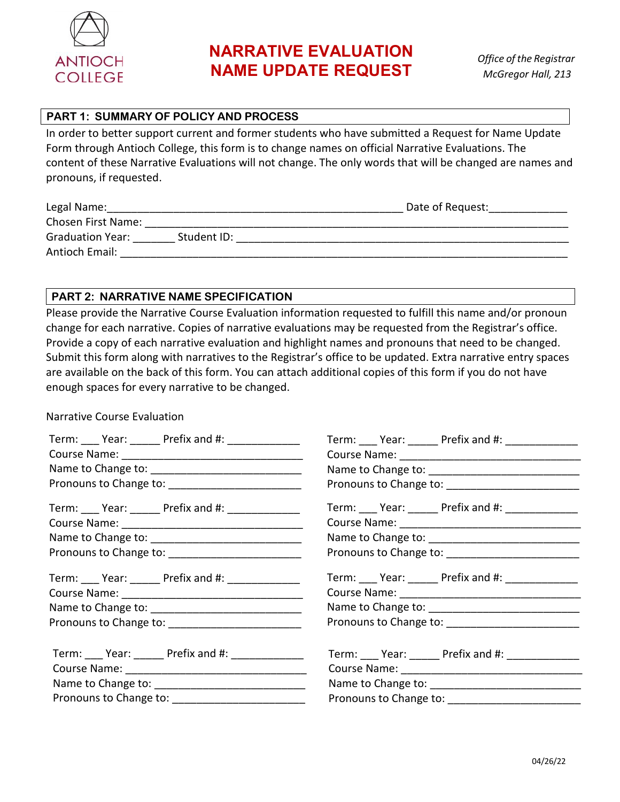

## **PART 1: SUMMARY OF POLICY AND PROCESS**

In order to better support current and former students who have submitted a Request for Name Update Form through Antioch College, this form is to change names on official Narrative Evaluations. The content of these Narrative Evaluations will not change. The only words that will be changed are names and pronouns, if requested.

| Legal Name:             |             | Date of Request: |  |
|-------------------------|-------------|------------------|--|
| Chosen First Name:      |             |                  |  |
| <b>Graduation Year:</b> | Student ID: |                  |  |
| Antioch Email:          |             |                  |  |

## **PART 2: NARRATIVE NAME SPECIFICATION**

Please provide the Narrative Course Evaluation information requested to fulfill this name and/or pronoun change for each narrative. Copies of narrative evaluations may be requested from the Registrar's office. Provide a copy of each narrative evaluation and highlight names and pronouns that need to be changed. Submit this form along with narratives to the Registrar's office to be updated. Extra narrative entry spaces are available on the back of this form. You can attach additional copies of this form if you do not have enough spaces for every narrative to be changed.

## Narrative Course Evaluation

| Term: ____ Year: ______ Prefix and #: ______________ | Term: ____ Year: ______ Prefix and #: ______________ |
|------------------------------------------------------|------------------------------------------------------|
|                                                      |                                                      |
|                                                      |                                                      |
|                                                      |                                                      |
| Term: Year: Prefix and #:                            | Term: Year: Prefix and #:                            |
|                                                      |                                                      |
|                                                      |                                                      |
|                                                      |                                                      |
| Term: Year: Prefix and #:                            | Term: ____ Year: ______ Prefix and #: ______________ |
|                                                      |                                                      |
|                                                      |                                                      |
|                                                      |                                                      |
| Term: Year: Prefix and #:                            | Term: Year: Prefix and #:                            |
|                                                      |                                                      |
|                                                      |                                                      |
| Pronouns to Change to: __________________________    |                                                      |